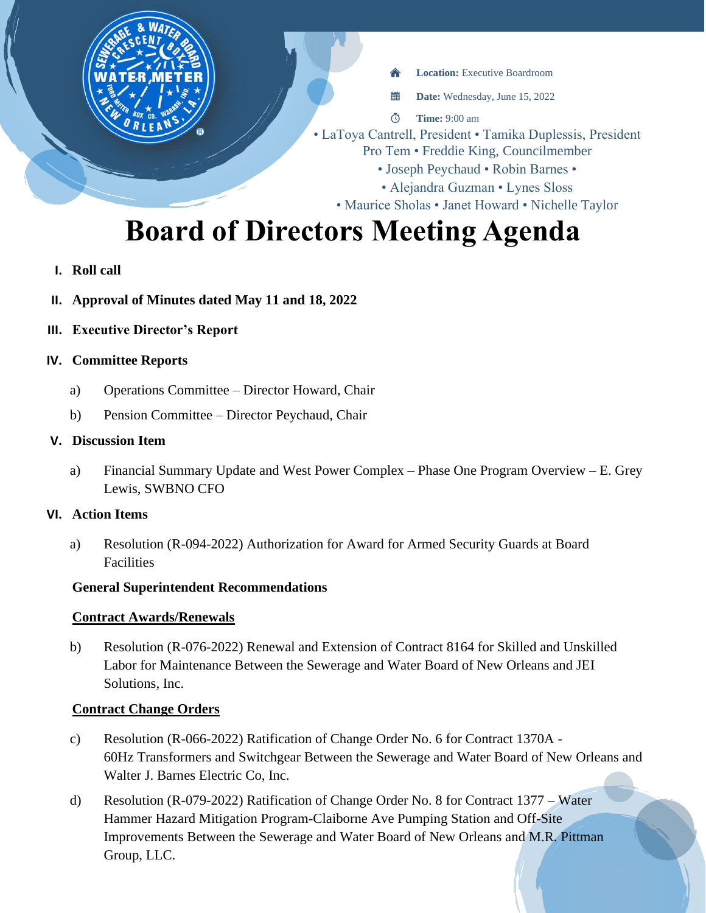**Location:** Executive Boardroom

置 **Date:** Wednesday, June 15, 2022

 $\Phi$ **Time:** 9:00 am

- LaToya Cantrell, President Tamika Duplessis, President
	- Pro Tem Freddie King, Councilmember
		- Joseph Peychaud Robin Barnes •
		- Alejandra Guzman Lynes Sloss

• Maurice Sholas • Janet Howard • Nichelle Taylor

# **Board of Directors Meeting Agenda**

- **I. Roll call**
- **II. Approval of Minutes dated May 11 and 18, 2022**
- **III. Executive Director's Report**

### **IV. Committee Reports**

- a) Operations Committee Director Howard, Chair
- b) Pension Committee Director Peychaud, Chair

#### **V. Discussion Item**

a) Financial Summary Update and West Power Complex – Phase One Program Overview – E. Grey Lewis, SWBNO CFO

#### **VI. Action Items**

a) Resolution (R-094-2022) Authorization for Award for Armed Security Guards at Board Facilities

#### **General Superintendent Recommendations**

#### **Contract Awards/Renewals**

b) Resolution (R-076-2022) Renewal and Extension of Contract 8164 for Skilled and Unskilled Labor for Maintenance Between the Sewerage and Water Board of New Orleans and JEI Solutions, Inc.

## **Contract Change Orders**

- c) Resolution (R-066-2022) Ratification of Change Order No. 6 for Contract 1370A 60Hz Transformers and Switchgear Between the Sewerage and Water Board of New Orleans and Walter J. Barnes Electric Co, Inc.
- d) Resolution (R-079-2022) Ratification of Change Order No. 8 for Contract 1377 Water Hammer Hazard Mitigation Program-Claiborne Ave Pumping Station and Off-Site Improvements Between the Sewerage and Water Board of New Orleans and M.R. Pittman Group, LLC.